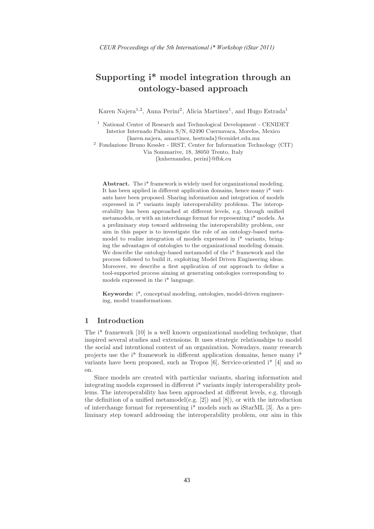# Supporting i\* model integration through an ontology-based approach

Karen Najera<sup>1,2</sup>, Anna Perini<sup>2</sup>, Alicia Martinez<sup>1</sup>, and Hugo Estrada<sup>1</sup>

<sup>1</sup> National Center of Research and Technological Development - CENIDET Interior Internado Palmira S/N, 62490 Cuernavaca, Morelos, Mexico {karen.najera, amartinez, hestrada}@cenidet.edu.mx

<sup>2</sup> Fondazione Bruno Kessler - IRST, Center for Information Technology (CIT) Via Sommarive, 18, 38050 Trento, Italy {knhernandez, perini}@fbk.eu

Abstract. The i<sup>\*</sup> framework is widely used for organizational modeling. It has been applied in different application domains, hence many i\* variants have been proposed. Sharing information and integration of models expressed in i\* variants imply interoperability problems. The interoperability has been approached at different levels, e.g. through unified metamodels, or with an interchange format for representing i\* models. As a preliminary step toward addressing the interoperability problem, our aim in this paper is to investigate the role of an ontology-based metamodel to realize integration of models expressed in i\* variants, bringing the advantages of ontologies to the organizational modeling domain. We describe the ontology-based metamodel of the  $i^*$  framework and the process followed to build it, exploiting Model Driven Engineering ideas. Moreover, we describe a first application of our approach to define a tool-supported process aiming at generating ontologies corresponding to models expressed in the i\* language.

Keywords: i\*, conceptual modeling, ontologies, model-driven engineering, model transformations.

#### 1 Introduction

The i\* framework [10] is a well known organizational modeling technique, that inspired several studies and extensions. It uses strategic relationships to model the social and intentional context of an organization. Nowadays, many research projects use the i\* framework in different application domains, hence many i\* variants have been proposed, such as Tropos  $[6]$ , Service-oriented i<sup>\*</sup>  $[4]$  and so on.

Since models are created with particular variants, sharing information and integrating models expressed in different i\* variants imply interoperability problems. The interoperability has been approached at different levels, e.g. through the definition of a unified metamodel(e.g.  $[2]$ ) and  $[8]$ ), or with the introduction of interchange format for representing i\* models such as iStarML [3]. As a preliminary step toward addressing the interoperability problem, our aim in this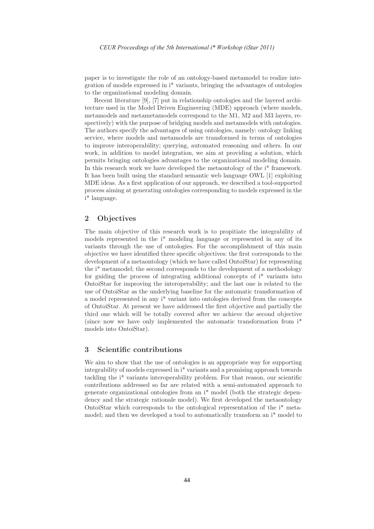paper is to investigate the role of an ontology-based metamodel to realize integration of models expressed in i\* variants, bringing the advantages of ontologies to the organizational modeling domain.

Recent literature [9], [7] put in relationship ontologies and the layered architecture used in the Model Driven Engineering (MDE) approach (where models, metamodels and metametamodels correspond to the M1, M2 and M3 layers, respectively) with the purpose of bridging models and metamodels with ontologies. The authors specify the advantages of using ontologies, namely: ontology linking service, where models and metamodels are transformed in terms of ontologies to improve interoperability; querying, automated reasoning and others. In our work, in addition to model integration, we aim at providing a solution, which permits bringing ontologies advantages to the organizational modeling domain. In this research work we have developed the metaontology of the i\* framework. It has been built using the standard semantic web language OWL [1] exploiting MDE ideas. As a first application of our approach, we described a tool-supported process aiming at generating ontologies corresponding to models expressed in the i\* language.

# 2 Objectives

The main objective of this research work is to propitiate the integrability of models represented in the i\* modeling language or represented in any of its variants through the use of ontologies. For the accomplishment of this main objective we have identified three specific objectives: the first corresponds to the development of a metaontology (which we have called OntoiStar) for representing the i\* metamodel; the second corresponds to the development of a methodology for guiding the process of integrating additional concepts of i\* variants into OntoiStar for improving the interoperability; and the last one is related to the use of OntoiStar as the underlying baseline for the automatic transformation of a model represented in any i\* variant into ontologies derived from the concepts of OntoiStar. At present we have addressed the first objective and partially the third one which will be totally covered after we achieve the second objective (since now we have only implemented the automatic transformation from i\* models into OntoiStar).

## 3 Scientific contributions

We aim to show that the use of ontologies is an appropriate way for supporting integrability of models expressed in i\* variants and a promising approach towards tackling the i\* variants interoperability problem. For that reason, our scientific contributions addressed so far are related with a semi-automated approach to generate organizational ontologies from an i\* model (both the strategic dependency and the strategic rationale model). We first developed the metaontology OntoiStar which corresponds to the ontological representation of the i\* metamodel; and then we developed a tool to automatically transform an i\* model to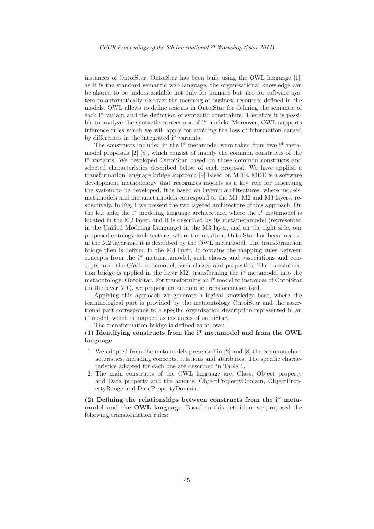instances of OntoiStar. OntoiStar has been built using the OWL language [1], as it is the standard semantic web language, the organizational knowledge can be shared to be understandable not only for humans but also for software system to automatically discover the meaning of business resources defined in the models. OWL allows to define axioms in OntoiStar for defining the semantic of each i\* variant and the definition of syntactic constraints. Therefore it is possible to analyze the syntactic correctness of i\* models. Moreover, OWL supports inference rules which we will apply for avoiding the loss of information caused by differences in the integrated i\* variants.

The constructs included in the i\* metamodel were taken from two i\* metamodel proposals [2] [8], which consist of mainly the common constructs of the i\* variants. We developed OntoiStar based on those common constructs and selected characteristics described below of each proposal. We have applied a transformation language bridge approach [9] based on MDE. MDE is a software development methodology that recognizes models as a key role for describing the system to be developed. It is based on layered architectures, where models, metamodels and metametamodels correspond to the M1, M2 and M3 layers, respectively. In Fig. 1 we present the two layered architecture of this approach. On the left side, the i\* modeling language architecture, where the i\* metamodel is located in the M2 layer, and it is described by its metametamodel (represented in the Unified Modeling Language) in the M3 layer, and on the right side, our proposed ontology architecture, where the resultant OntoiStar has been located in the M2 layer and it is described by the OWL metamodel. The transformation bridge then is defined in the M3 layer. It contains the mapping rules between concepts from the i\* metametamodel, such classes and associations and concepts from the OWL metamodel, such classes and properties. The transformation bridge is applied in the layer M2, transforming the i\* metamodel into the metaontology: OntoiStar. For transforming an i\* model to instances of OntoiStar (in the layer M1), we propose an automatic transformation tool.

Applying this approach we generate a logical knowledge base, where the terminological part is provided by the metaontology OntoiStar and the assertional part corresponds to a specific organization description represented in an i\* model, which is mapped as instances of ontoiStar.

The transformation bridge is defined as follows:

### (1) Identifying constructs from the i\* metamodel and from the OWL language.

- 1. We adopted from the metamodels presented in [2] and [8] the common characteristics, including concepts, relations and attributes. The specific characteristics adopted for each one are described in Table 1.
- 2. The main constructs of the OWL language are: Class, Object property and Data property and the axioms: ObjectPropertyDomain, ObjectPropertyRange and DataPropertyDomain.

(2) Defining the relationships between constructs from the i\* metamodel and the OWL language. Based on this definition, we proposed the following transformation rules: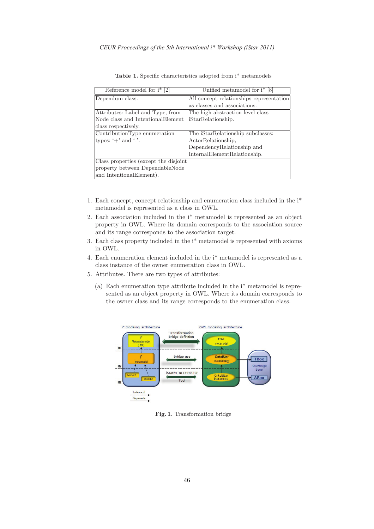| Reference model for $i^*$ [2]         | Unified metamodel for $i^*$ [8]          |
|---------------------------------------|------------------------------------------|
| Dependum class.                       | All concept relationships representation |
|                                       | as classes and associations.             |
| Attributes: Label and Type, from      | The high abstraction level class         |
| Node class and Intentional Element    | iStarRelationship.                       |
| class respectively.                   |                                          |
| ContributionType enumeration          | The iStarRelationship subclasses:        |
| types: $+$ and $-$ .                  | ActorRelationship,                       |
|                                       | DependencyRelationship and               |
|                                       | InternalElementRelationship.             |
| Class properties (except the disjoint |                                          |
| property between DependableNode       |                                          |
| and IntentionalElement).              |                                          |

Table 1. Specific characteristics adopted from i\* metamodels

- 1. Each concept, concept relationship and enumeration class included in the i\* metamodel is represented as a class in OWL.
- 2. Each association included in the i\* metamodel is represented as an object property in OWL. Where its domain corresponds to the association source and its range corresponds to the association target.
- 3. Each class property included in the i\* metamodel is represented with axioms in OWL.
- 4. Each enumeration element included in the i\* metamodel is represented as a class instance of the owner enumeration class in OWL.
- 5. Attributes. There are two types of attributes:
	- (a) Each enumeration type attribute included in the i\* metamodel is represented as an object property in OWL. Where its domain corresponds to the owner class and its range corresponds to the enumeration class.



Fig. 1. Transformation bridge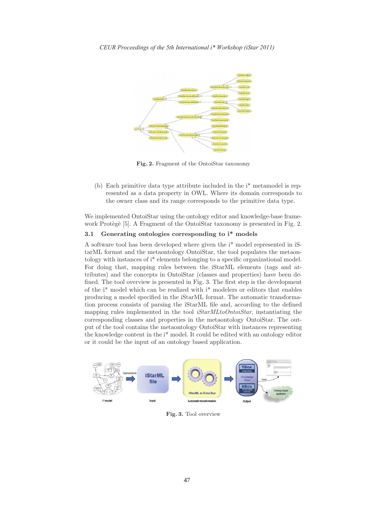

Fig. 2. Fragment of the OntoiStar taxonomy

(b) Each primitive data type attribute included in the i\* metamodel is represented as a data property in OWL. Where its domain corresponds to the owner class and its range corresponds to the primitive data type.

We implemented OntoiStar using the ontology editor and knowledge-base framework Protègè [5]. A Fragment of the OntoiStar taxonomy is presented in Fig. 2.

### 3.1 Generating ontologies corresponding to i\* models

A software tool has been developed where given the i\* model represented in iStarML format and the metaontology OntoiStar, the tool populates the metaontology with instances of i\* elements belonging to a specific organizational model. For doing that, mapping rules between the iStarML elements (tags and attributes) and the concepts in OntoiStar (classes and properties) have been defined. The tool overview is presented in Fig. 3. The first step is the development of the  $i^*$  model which can be realized with  $i^*$  modelers or editors that enables producing a model specified in the iStarML format. The automatic transformation process consists of parsing the iStarML file and, according to the defined mapping rules implemented in the tool *iStarMLtoOntoiStar*, instantiating the corresponding classes and properties in the metaontology OntoiStar. The output of the tool contains the metaontology OntoiStar with instances representing the knowledge content in the i\* model. It could be edited with an ontology editor or it could be the input of an ontology based application.



Fig. 3. Tool overview